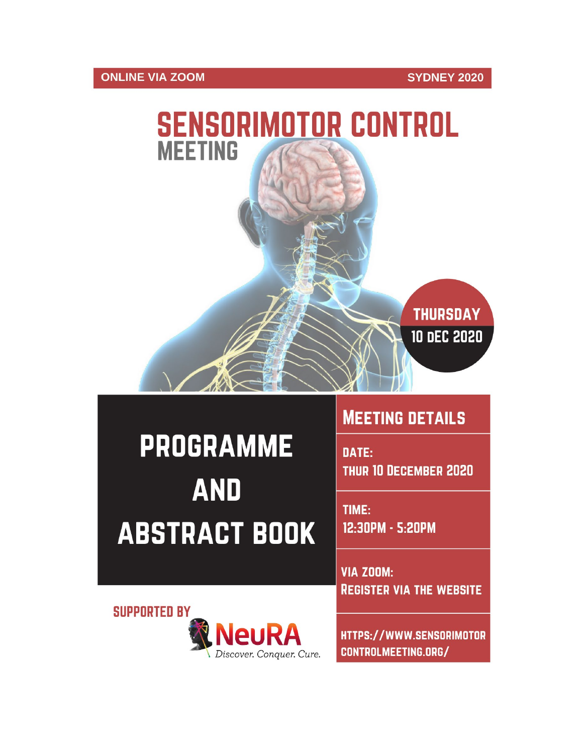## **ONLINE VIA ZOOM**



# **PROGRAMME AND ABSTRACT BOOK**

# **MEETING DETAILS**

DATE: **THUR 10 DECEMBER 2020** 

TIME: 12:30PM - 5:20PM

**VIA ZOOM: REGISTER VIA THE WEBSITE** 

**SUPPORTED BY** 



HTTPS://WWW.SENSORIMOTOR CONTROLMEETING.ORG/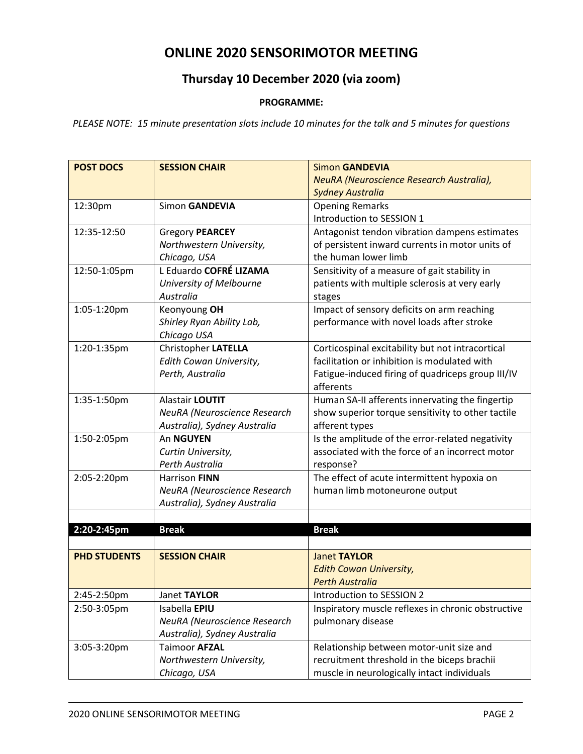# **ONLINE 2020 SENSORIMOTOR MEETING**

# **Thursday 10 December 2020 (via zoom)**

#### **PROGRAMME:**

*PLEASE NOTE: 15 minute presentation slots include 10 minutes for the talk and 5 minutes for questions*

| <b>POST DOCS</b>    | <b>SESSION CHAIR</b>         | <b>Simon GANDEVIA</b>                              |
|---------------------|------------------------------|----------------------------------------------------|
|                     |                              | NeuRA (Neuroscience Research Australia),           |
|                     |                              | <b>Sydney Australia</b>                            |
| 12:30pm             | Simon GANDEVIA               | <b>Opening Remarks</b>                             |
|                     |                              | Introduction to SESSION 1                          |
| 12:35-12:50         | <b>Gregory PEARCEY</b>       | Antagonist tendon vibration dampens estimates      |
|                     | Northwestern University,     | of persistent inward currents in motor units of    |
|                     | Chicago, USA                 | the human lower limb                               |
| 12:50-1:05pm        | L Eduardo COFRÉ LIZAMA       | Sensitivity of a measure of gait stability in      |
|                     | University of Melbourne      | patients with multiple sclerosis at very early     |
|                     | Australia                    | stages                                             |
| 1:05-1:20pm         | Keonyoung OH                 | Impact of sensory deficits on arm reaching         |
|                     | Shirley Ryan Ability Lab,    | performance with novel loads after stroke          |
|                     | Chicago USA                  |                                                    |
| 1:20-1:35pm         | <b>Christopher LATELLA</b>   | Corticospinal excitability but not intracortical   |
|                     | Edith Cowan University,      | facilitation or inhibition is modulated with       |
|                     | Perth, Australia             | Fatigue-induced firing of quadriceps group III/IV  |
|                     |                              | afferents                                          |
| 1:35-1:50pm         | Alastair LOUTIT              | Human SA-II afferents innervating the fingertip    |
|                     | NeuRA (Neuroscience Research | show superior torque sensitivity to other tactile  |
|                     | Australia), Sydney Australia | afferent types                                     |
| 1:50-2:05pm         | An NGUYEN                    | Is the amplitude of the error-related negativity   |
|                     | Curtin University,           | associated with the force of an incorrect motor    |
|                     | Perth Australia              | response?                                          |
| 2:05-2:20pm         | Harrison FINN                | The effect of acute intermittent hypoxia on        |
|                     | NeuRA (Neuroscience Research | human limb motoneurone output                      |
|                     | Australia), Sydney Australia |                                                    |
|                     |                              |                                                    |
| 2:20-2:45pm         | <b>Break</b>                 | <b>Break</b>                                       |
|                     |                              |                                                    |
| <b>PHD STUDENTS</b> | <b>SESSION CHAIR</b>         | <b>Janet TAYLOR</b>                                |
|                     |                              | <b>Edith Cowan University,</b>                     |
|                     |                              | <b>Perth Australia</b>                             |
| 2:45-2:50pm         | Janet TAYLOR                 | Introduction to SESSION 2                          |
| 2:50-3:05pm         | Isabella EPIU                | Inspiratory muscle reflexes in chronic obstructive |
|                     | NeuRA (Neuroscience Research | pulmonary disease                                  |
|                     | Australia), Sydney Australia |                                                    |
| 3:05-3:20pm         | <b>Taimoor AFZAL</b>         | Relationship between motor-unit size and           |
|                     | Northwestern University,     | recruitment threshold in the biceps brachii        |
|                     | Chicago, USA                 | muscle in neurologically intact individuals        |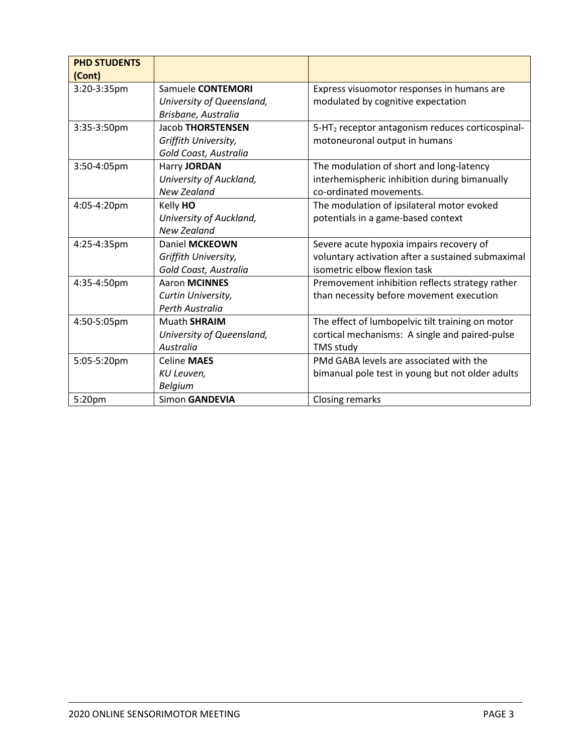| <b>PHD STUDENTS</b><br>(Cont) |                           |                                                              |
|-------------------------------|---------------------------|--------------------------------------------------------------|
| 3:20-3:35pm                   | Samuele CONTEMORI         | Express visuomotor responses in humans are                   |
|                               | University of Queensland, | modulated by cognitive expectation                           |
|                               | Brisbane, Australia       |                                                              |
| 3:35-3:50pm                   | <b>Jacob THORSTENSEN</b>  | 5-HT <sub>2</sub> receptor antagonism reduces corticospinal- |
|                               | Griffith University,      | motoneuronal output in humans                                |
|                               | Gold Coast, Australia     |                                                              |
| 3:50-4:05pm                   | Harry JORDAN              | The modulation of short and long-latency                     |
|                               | University of Auckland,   | interhemispheric inhibition during bimanually                |
|                               | <b>New Zealand</b>        | co-ordinated movements.                                      |
| 4:05-4:20pm                   | Kelly HO                  | The modulation of ipsilateral motor evoked                   |
|                               | University of Auckland,   | potentials in a game-based context                           |
|                               | <b>New Zealand</b>        |                                                              |
| 4:25-4:35pm                   | Daniel MCKEOWN            | Severe acute hypoxia impairs recovery of                     |
|                               | Griffith University,      | voluntary activation after a sustained submaximal            |
|                               | Gold Coast, Australia     | isometric elbow flexion task                                 |
| 4:35-4:50pm                   | <b>Aaron MCINNES</b>      | Premovement inhibition reflects strategy rather              |
|                               | Curtin University,        | than necessity before movement execution                     |
|                               | Perth Australia           |                                                              |
| 4:50-5:05pm                   | <b>Muath SHRAIM</b>       | The effect of lumbopelvic tilt training on motor             |
|                               | University of Queensland, | cortical mechanisms: A single and paired-pulse               |
|                               | Australia                 | <b>TMS study</b>                                             |
| 5:05-5:20pm                   | <b>Celine MAES</b>        | PMd GABA levels are associated with the                      |
|                               | KU Leuven,                | bimanual pole test in young but not older adults             |
|                               | <b>Belgium</b>            |                                                              |
| 5:20pm                        | Simon GANDEVIA            | Closing remarks                                              |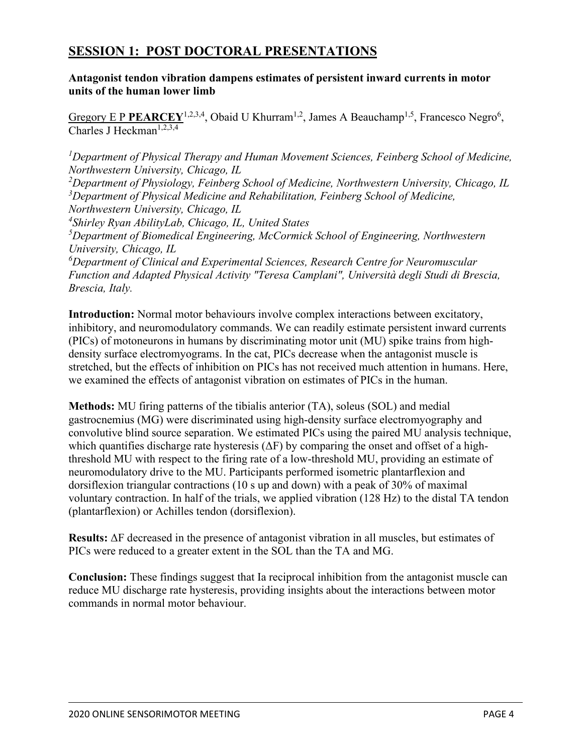# **SESSION 1: POST DOCTORAL PRESENTATIONS**

**Antagonist tendon vibration dampens estimates of persistent inward currents in motor units of the human lower limb**

Gregory E P PEARCEY<sup>1,2,3,4</sup>, Obaid U Khurram<sup>1,2</sup>, James A Beauchamp<sup>1,5</sup>, Francesco Negro<sup>6</sup>, Charles J Heckman<sup>1,2,3,4</sup>

<sup>1</sup>Department of Physical Therapy and Human Movement Sciences, Feinberg School of Medicine, *Northwestern University, Chicago, IL*

*2 Department of Physiology, Feinberg School of Medicine, Northwestern University, Chicago, IL* <sup>3</sup>Department of Physical Medicine and Rehabilitation, Feinberg School of Medicine, *Northwestern University, Chicago, IL*

*4 Shirley Ryan AbilityLab, Chicago, IL, United States*

*5 Department of Biomedical Engineering, McCormick School of Engineering, Northwestern University, Chicago, IL*

*6 Department of Clinical and Experimental Sciences, Research Centre for Neuromuscular Function and Adapted Physical Activity "Teresa Camplani", Università degli Studi di Brescia, Brescia, Italy.* 

**Introduction:** Normal motor behaviours involve complex interactions between excitatory, inhibitory, and neuromodulatory commands. We can readily estimate persistent inward currents (PICs) of motoneurons in humans by discriminating motor unit (MU) spike trains from highdensity surface electromyograms. In the cat, PICs decrease when the antagonist muscle is stretched, but the effects of inhibition on PICs has not received much attention in humans. Here, we examined the effects of antagonist vibration on estimates of PICs in the human.

**Methods:** MU firing patterns of the tibialis anterior (TA), soleus (SOL) and medial gastrocnemius (MG) were discriminated using high-density surface electromyography and convolutive blind source separation. We estimated PICs using the paired MU analysis technique, which quantifies discharge rate hysteresis  $(\Delta F)$  by comparing the onset and offset of a highthreshold MU with respect to the firing rate of a low-threshold MU, providing an estimate of neuromodulatory drive to the MU. Participants performed isometric plantarflexion and dorsiflexion triangular contractions (10 s up and down) with a peak of 30% of maximal voluntary contraction. In half of the trials, we applied vibration (128 Hz) to the distal TA tendon (plantarflexion) or Achilles tendon (dorsiflexion).

**Results:** ΔF decreased in the presence of antagonist vibration in all muscles, but estimates of PICs were reduced to a greater extent in the SOL than the TA and MG.

**Conclusion:** These findings suggest that Ia reciprocal inhibition from the antagonist muscle can reduce MU discharge rate hysteresis, providing insights about the interactions between motor commands in normal motor behaviour.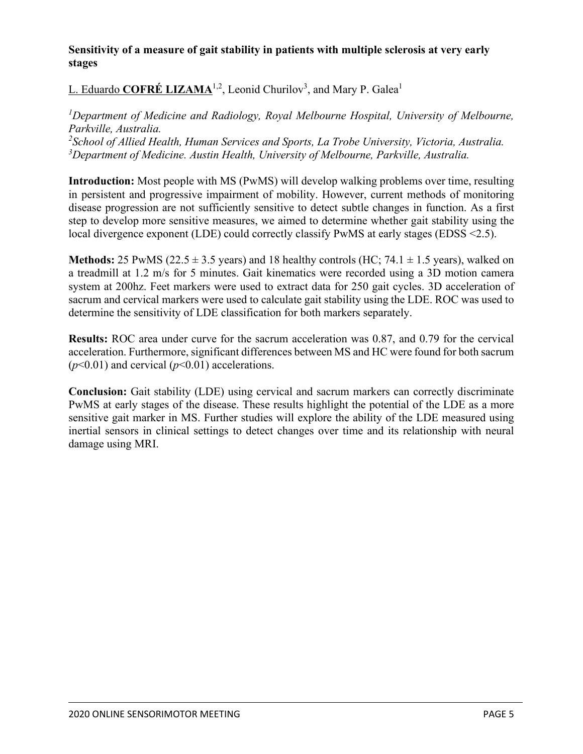#### **Sensitivity of a measure of gait stability in patients with multiple sclerosis at very early stages**

L. Eduardo COFRÉ LIZAMA<sup>1,2</sup>, Leonid Churilov<sup>3</sup>, and Mary P. Galea<sup>1</sup>

<sup>1</sup>Department of Medicine and Radiology, Royal Melbourne Hospital, University of Melbourne, *Parkville, Australia. 2 School of Allied Health, Human Services and Sports, La Trobe University, Victoria, Australia. 3 Department of Medicine. Austin Health, University of Melbourne, Parkville, Australia.*

**Introduction:** Most people with MS (PwMS) will develop walking problems over time, resulting in persistent and progressive impairment of mobility. However, current methods of monitoring disease progression are not sufficiently sensitive to detect subtle changes in function. As a first step to develop more sensitive measures, we aimed to determine whether gait stability using the local divergence exponent (LDE) could correctly classify PwMS at early stages (EDSS <2.5).

**Methods:** 25 PwMS ( $22.5 \pm 3.5$  years) and 18 healthy controls (HC; 74.1  $\pm$  1.5 years), walked on a treadmill at 1.2 m/s for 5 minutes. Gait kinematics were recorded using a 3D motion camera system at 200hz. Feet markers were used to extract data for 250 gait cycles. 3D acceleration of sacrum and cervical markers were used to calculate gait stability using the LDE. ROC was used to determine the sensitivity of LDE classification for both markers separately.

**Results:** ROC area under curve for the sacrum acceleration was 0.87, and 0.79 for the cervical acceleration. Furthermore, significant differences between MS and HC were found for both sacrum  $(p<0.01)$  and cervical  $(p<0.01)$  accelerations.

**Conclusion:** Gait stability (LDE) using cervical and sacrum markers can correctly discriminate PwMS at early stages of the disease. These results highlight the potential of the LDE as a more sensitive gait marker in MS. Further studies will explore the ability of the LDE measured using inertial sensors in clinical settings to detect changes over time and its relationship with neural damage using MRI.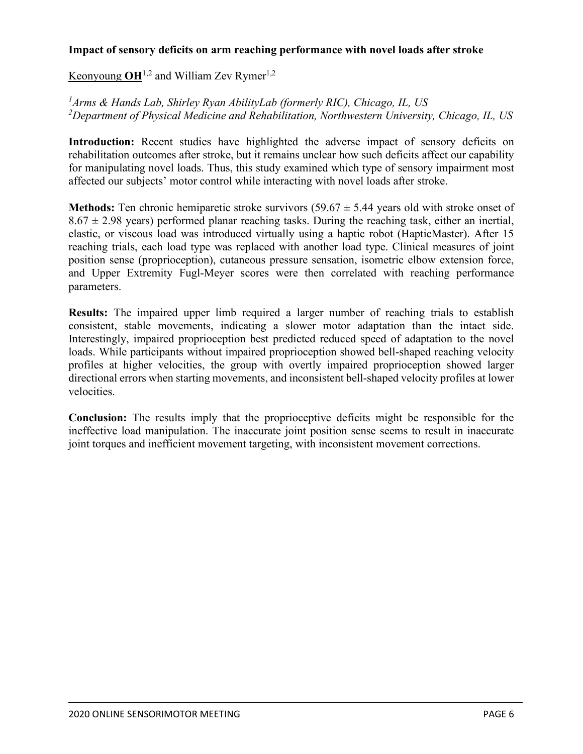#### **Impact of sensory deficits on arm reaching performance with novel loads after stroke**

Keonyoung  $OH^{1,2}$  and William Zev Rymer<sup>1,2</sup>

*1 Arms & Hands Lab, Shirley Ryan AbilityLab (formerly RIC), Chicago, IL, US 2 Department of Physical Medicine and Rehabilitation, Northwestern University, Chicago, IL, US*

**Introduction:** Recent studies have highlighted the adverse impact of sensory deficits on rehabilitation outcomes after stroke, but it remains unclear how such deficits affect our capability for manipulating novel loads. Thus, this study examined which type of sensory impairment most affected our subjects' motor control while interacting with novel loads after stroke.

**Methods:** Ten chronic hemiparetic stroke survivors  $(59.67 \pm 5.44)$  years old with stroke onset of  $8.67 \pm 2.98$  years) performed planar reaching tasks. During the reaching task, either an inertial, elastic, or viscous load was introduced virtually using a haptic robot (HapticMaster). After 15 reaching trials, each load type was replaced with another load type. Clinical measures of joint position sense (proprioception), cutaneous pressure sensation, isometric elbow extension force, and Upper Extremity Fugl-Meyer scores were then correlated with reaching performance parameters.

**Results:** The impaired upper limb required a larger number of reaching trials to establish consistent, stable movements, indicating a slower motor adaptation than the intact side. Interestingly, impaired proprioception best predicted reduced speed of adaptation to the novel loads. While participants without impaired proprioception showed bell-shaped reaching velocity profiles at higher velocities, the group with overtly impaired proprioception showed larger directional errors when starting movements, and inconsistent bell-shaped velocity profiles at lower velocities.

**Conclusion:** The results imply that the proprioceptive deficits might be responsible for the ineffective load manipulation. The inaccurate joint position sense seems to result in inaccurate joint torques and inefficient movement targeting, with inconsistent movement corrections.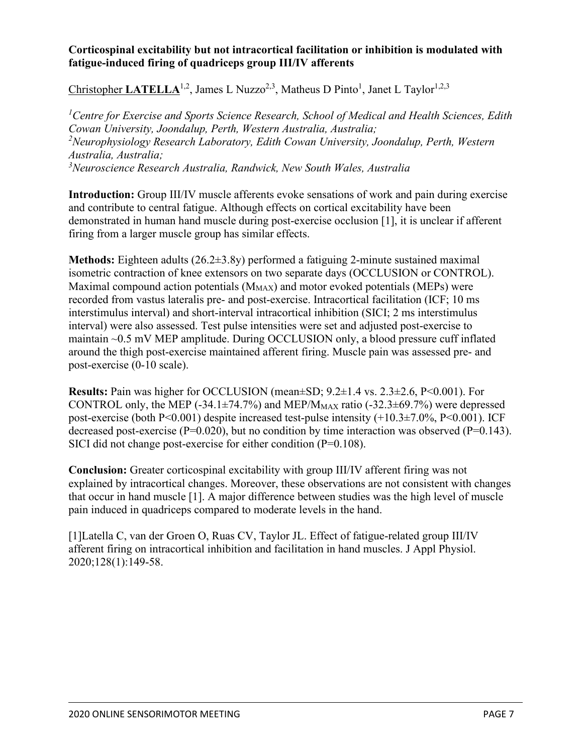#### **Corticospinal excitability but not intracortical facilitation or inhibition is modulated with fatigue-induced firing of quadriceps group III/IV afferents**

Christopher LATELLA<sup>1,2</sup>, James L Nuzzo<sup>2,3</sup>, Matheus D Pinto<sup>1</sup>, Janet L Taylor<sup>1,2,3</sup>

<sup>1</sup> Centre for Exercise and Sports Science Research, School of Medical and Health Sciences, Edith *Cowan University, Joondalup, Perth, Western Australia, Australia; 2 Neurophysiology Research Laboratory, Edith Cowan University, Joondalup, Perth, Western Australia, Australia; 3 Neuroscience Research Australia, Randwick, New South Wales, Australia*

**Introduction:** Group III/IV muscle afferents evoke sensations of work and pain during exercise and contribute to central fatigue. Although effects on cortical excitability have been demonstrated in human hand muscle during post-exercise occlusion [1], it is unclear if afferent firing from a larger muscle group has similar effects.

**Methods:** Eighteen adults (26.2±3.8y) performed a fatiguing 2-minute sustained maximal isometric contraction of knee extensors on two separate days (OCCLUSION or CONTROL). Maximal compound action potentials  $(M_{MAX})$  and motor evoked potentials (MEPs) were recorded from vastus lateralis pre- and post-exercise. Intracortical facilitation (ICF; 10 ms interstimulus interval) and short-interval intracortical inhibition (SICI; 2 ms interstimulus interval) were also assessed. Test pulse intensities were set and adjusted post-exercise to maintain ~0.5 mV MEP amplitude. During OCCLUSION only, a blood pressure cuff inflated around the thigh post-exercise maintained afferent firing. Muscle pain was assessed pre- and post-exercise (0-10 scale).

**Results:** Pain was higher for OCCLUSION (mean±SD;  $9.2\pm1.4$  vs.  $2.3\pm2.6$ , P<0.001). For CONTROL only, the MEP  $(-34.1\pm74.7\%)$  and MEP/M<sub>MAX</sub> ratio  $(-32.3\pm69.7\%)$  were depressed post-exercise (both P<0.001) despite increased test-pulse intensity (+10.3±7.0%, P<0.001). ICF decreased post-exercise ( $P=0.020$ ), but no condition by time interaction was observed ( $P=0.143$ ). SICI did not change post-exercise for either condition (P=0.108).

**Conclusion:** Greater corticospinal excitability with group III/IV afferent firing was not explained by intracortical changes. Moreover, these observations are not consistent with changes that occur in hand muscle [1]. A major difference between studies was the high level of muscle pain induced in quadriceps compared to moderate levels in the hand.

[1]Latella C, van der Groen O, Ruas CV, Taylor JL. Effect of fatigue-related group III/IV afferent firing on intracortical inhibition and facilitation in hand muscles. J Appl Physiol. 2020;128(1):149-58.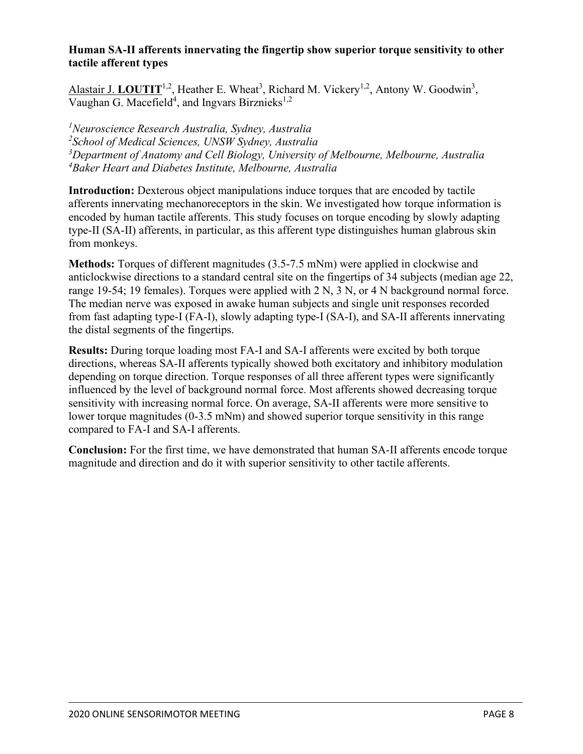#### **Human SA-II afferents innervating the fingertip show superior torque sensitivity to other tactile afferent types**

Alastair J. LOUTIT<sup>1,2</sup>, Heather E. Wheat<sup>3</sup>, Richard M. Vickery<sup>1,2</sup>, Antony W. Goodwin<sup>3</sup>, Vaughan G. Macefield<sup>4</sup>, and Ingvars Birznieks<sup>1,2</sup>

 *Neuroscience Research Australia, Sydney, Australia School of Medical Sciences, UNSW Sydney, Australia Department of Anatomy and Cell Biology, University of Melbourne, Melbourne, Australia Baker Heart and Diabetes Institute, Melbourne, Australia*

**Introduction:** Dexterous object manipulations induce torques that are encoded by tactile afferents innervating mechanoreceptors in the skin. We investigated how torque information is encoded by human tactile afferents. This study focuses on torque encoding by slowly adapting type-II (SA-II) afferents, in particular, as this afferent type distinguishes human glabrous skin from monkeys.

**Methods:** Torques of different magnitudes (3.5-7.5 mNm) were applied in clockwise and anticlockwise directions to a standard central site on the fingertips of 34 subjects (median age 22, range 19-54; 19 females). Torques were applied with 2 N, 3 N, or 4 N background normal force. The median nerve was exposed in awake human subjects and single unit responses recorded from fast adapting type-I (FA-I), slowly adapting type-I (SA-I), and SA-II afferents innervating the distal segments of the fingertips.

**Results:** During torque loading most FA-I and SA-I afferents were excited by both torque directions, whereas SA-II afferents typically showed both excitatory and inhibitory modulation depending on torque direction. Torque responses of all three afferent types were significantly influenced by the level of background normal force. Most afferents showed decreasing torque sensitivity with increasing normal force. On average, SA-II afferents were more sensitive to lower torque magnitudes (0-3.5 mNm) and showed superior torque sensitivity in this range compared to FA-I and SA-I afferents.

**Conclusion:** For the first time, we have demonstrated that human SA-II afferents encode torque magnitude and direction and do it with superior sensitivity to other tactile afferents.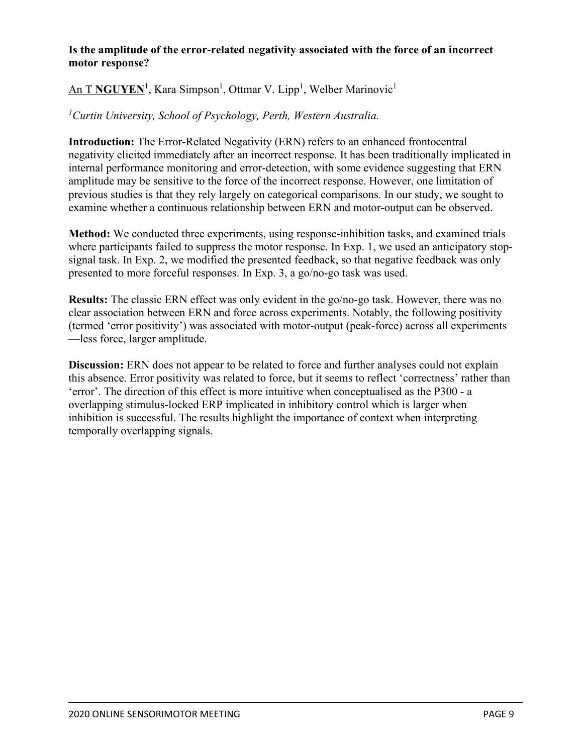#### **Is the amplitude of the error-related negativity associated with the force of an incorrect motor response?**

## $An T\,\textbf{NGUYEN}^1,$  Kara Simpson<sup>1</sup>, Ottmar V. Lipp<sup>1</sup>, Welber Marinovic<sup>1</sup>

#### *1 Curtin University, School of Psychology, Perth, Western Australia.*

**Introduction:** The Error-Related Negativity (ERN) refers to an enhanced frontocentral negativity elicited immediately after an incorrect response. It has been traditionally implicated in internal performance monitoring and error-detection, with some evidence suggesting that ERN amplitude may be sensitive to the force of the incorrect response. However, one limitation of previous studies is that they rely largely on categorical comparisons. In our study, we sought to examine whether a continuous relationship between ERN and motor-output can be observed.

**Method:** We conducted three experiments, using response-inhibition tasks, and examined trials where participants failed to suppress the motor response. In Exp. 1, we used an anticipatory stopsignal task. In Exp. 2, we modified the presented feedback, so that negative feedback was only presented to more forceful responses. In Exp. 3, a go/no-go task was used.

**Results:** The classic ERN effect was only evident in the go/no-go task. However, there was no clear association between ERN and force across experiments. Notably, the following positivity (termed 'error positivity') was associated with motor-output (peak-force) across all experiments —less force, larger amplitude.

**Discussion:** ERN does not appear to be related to force and further analyses could not explain this absence. Error positivity was related to force, but it seems to reflect 'correctness' rather than 'error'. The direction of this effect is more intuitive when conceptualised as the P300 - a overlapping stimulus-locked ERP implicated in inhibitory control which is larger when inhibition is successful. The results highlight the importance of context when interpreting temporally overlapping signals.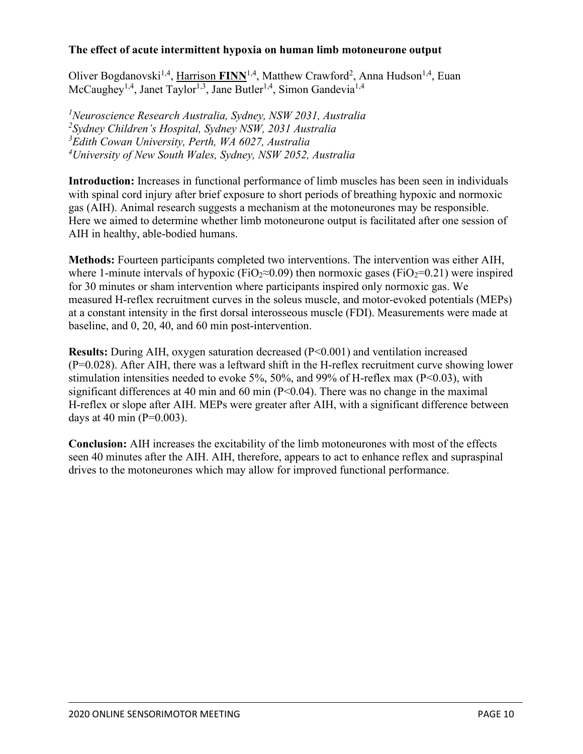#### **The effect of acute intermittent hypoxia on human limb motoneurone output**

Oliver Bogdanovski<sup>1,4</sup>, Harrison FINN<sup>1,4</sup>, Matthew Crawford<sup>2</sup>, Anna Hudson<sup>1,4</sup>, Euan McCaughey<sup>1,4</sup>, Janet Taylor<sup>1,3</sup>, Jane Butler<sup>1,4</sup>, Simon Gandevia<sup>1,4</sup>

 *Neuroscience Research Australia, Sydney, NSW 2031, Australia Sydney Children's Hospital, Sydney NSW, 2031 Australia Edith Cowan University, Perth, WA 6027, Australia University of New South Wales, Sydney, NSW 2052, Australia*

**Introduction:** Increases in functional performance of limb muscles has been seen in individuals with spinal cord injury after brief exposure to short periods of breathing hypoxic and normoxic gas (AIH). Animal research suggests a mechanism at the motoneurones may be responsible. Here we aimed to determine whether limb motoneurone output is facilitated after one session of AIH in healthy, able-bodied humans.

**Methods:** Fourteen participants completed two interventions. The intervention was either AIH, where 1-minute intervals of hypoxic (FiO<sub>2</sub>≈0.09) then normoxic gases (FiO<sub>2</sub>=0.21) were inspired for 30 minutes or sham intervention where participants inspired only normoxic gas. We measured H-reflex recruitment curves in the soleus muscle, and motor-evoked potentials (MEPs) at a constant intensity in the first dorsal interosseous muscle (FDI). Measurements were made at baseline, and 0, 20, 40, and 60 min post-intervention.

**Results:** During AIH, oxygen saturation decreased (P<0.001) and ventilation increased (P=0.028). After AIH, there was a leftward shift in the H-reflex recruitment curve showing lower stimulation intensities needed to evoke 5%, 50%, and 99% of H-reflex max (P<0.03), with significant differences at 40 min and 60 min  $(P< 0.04)$ . There was no change in the maximal H-reflex or slope after AIH. MEPs were greater after AIH, with a significant difference between days at 40 min ( $P=0.003$ ).

**Conclusion:** AIH increases the excitability of the limb motoneurones with most of the effects seen 40 minutes after the AIH. AIH, therefore, appears to act to enhance reflex and supraspinal drives to the motoneurones which may allow for improved functional performance.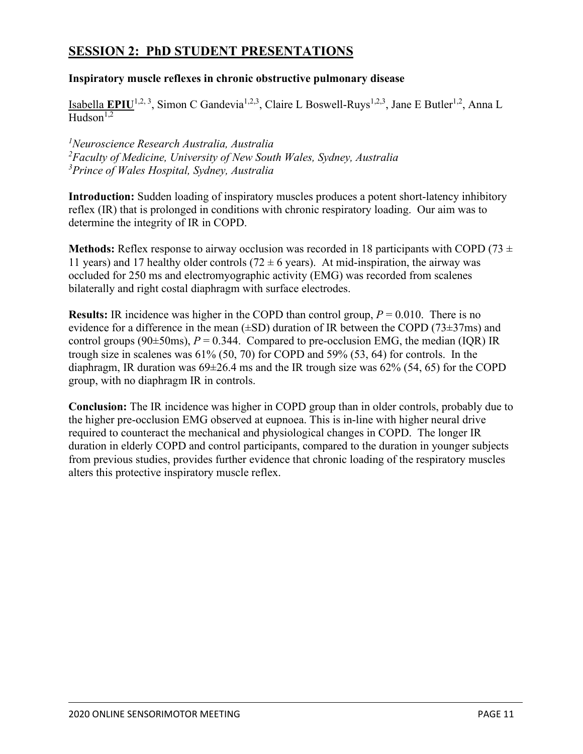# **SESSION 2: PhD STUDENT PRESENTATIONS**

#### **Inspiratory muscle reflexes in chronic obstructive pulmonary disease**

Isabella **EPIU**<sup>1,2, 3</sup>, Simon C Gandevia<sup>1,2,3</sup>, Claire L Boswell-Ruys<sup>1,2,3</sup>, Jane E Butler<sup>1,2</sup>, Anna L  $\overline{H}_{11}$ dson<sup>1,2</sup>

*1 Neuroscience Research Australia, Australia 2 Faculty of Medicine, University of New South Wales, Sydney, Australia 3 Prince of Wales Hospital, Sydney, Australia* 

**Introduction:** Sudden loading of inspiratory muscles produces a potent short-latency inhibitory reflex (IR) that is prolonged in conditions with chronic respiratory loading. Our aim was to determine the integrity of IR in COPD.

**Methods:** Reflex response to airway occlusion was recorded in 18 participants with COPD (73  $\pm$ 11 years) and 17 healthy older controls (72  $\pm$  6 years). At mid-inspiration, the airway was occluded for 250 ms and electromyographic activity (EMG) was recorded from scalenes bilaterally and right costal diaphragm with surface electrodes.

**Results:** IR incidence was higher in the COPD than control group,  $P = 0.010$ . There is no evidence for a difference in the mean  $(\pm SD)$  duration of IR between the COPD (73 $\pm$ 37ms) and control groups ( $90\pm50$ ms),  $P = 0.344$ . Compared to pre-occlusion EMG, the median (IQR) IR trough size in scalenes was 61% (50, 70) for COPD and 59% (53, 64) for controls. In the diaphragm, IR duration was  $69\pm26.4$  ms and the IR trough size was  $62\%$  (54, 65) for the COPD group, with no diaphragm IR in controls.

**Conclusion:** The IR incidence was higher in COPD group than in older controls, probably due to the higher pre-occlusion EMG observed at eupnoea. This is in-line with higher neural drive required to counteract the mechanical and physiological changes in COPD. The longer IR duration in elderly COPD and control participants, compared to the duration in younger subjects from previous studies, provides further evidence that chronic loading of the respiratory muscles alters this protective inspiratory muscle reflex.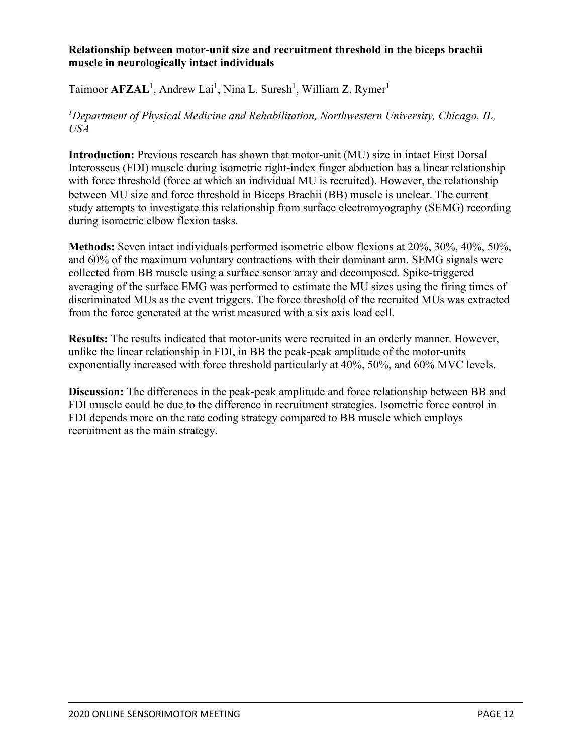#### **Relationship between motor-unit size and recruitment threshold in the biceps brachii muscle in neurologically intact individuals**

Taimoor **AFZAL**<sup>1</sup>, Andrew Lai<sup>1</sup>, Nina L. Suresh<sup>1</sup>, William Z. Rymer<sup>1</sup>

*1 Department of Physical Medicine and Rehabilitation, Northwestern University, Chicago, IL, USA*

**Introduction:** Previous research has shown that motor-unit (MU) size in intact First Dorsal Interosseus (FDI) muscle during isometric right-index finger abduction has a linear relationship with force threshold (force at which an individual MU is recruited). However, the relationship between MU size and force threshold in Biceps Brachii (BB) muscle is unclear. The current study attempts to investigate this relationship from surface electromyography (SEMG) recording during isometric elbow flexion tasks.

**Methods:** Seven intact individuals performed isometric elbow flexions at 20%, 30%, 40%, 50%, and 60% of the maximum voluntary contractions with their dominant arm. SEMG signals were collected from BB muscle using a surface sensor array and decomposed. Spike-triggered averaging of the surface EMG was performed to estimate the MU sizes using the firing times of discriminated MUs as the event triggers. The force threshold of the recruited MUs was extracted from the force generated at the wrist measured with a six axis load cell.

**Results:** The results indicated that motor-units were recruited in an orderly manner. However, unlike the linear relationship in FDI, in BB the peak-peak amplitude of the motor-units exponentially increased with force threshold particularly at 40%, 50%, and 60% MVC levels.

**Discussion:** The differences in the peak-peak amplitude and force relationship between BB and FDI muscle could be due to the difference in recruitment strategies. Isometric force control in FDI depends more on the rate coding strategy compared to BB muscle which employs recruitment as the main strategy.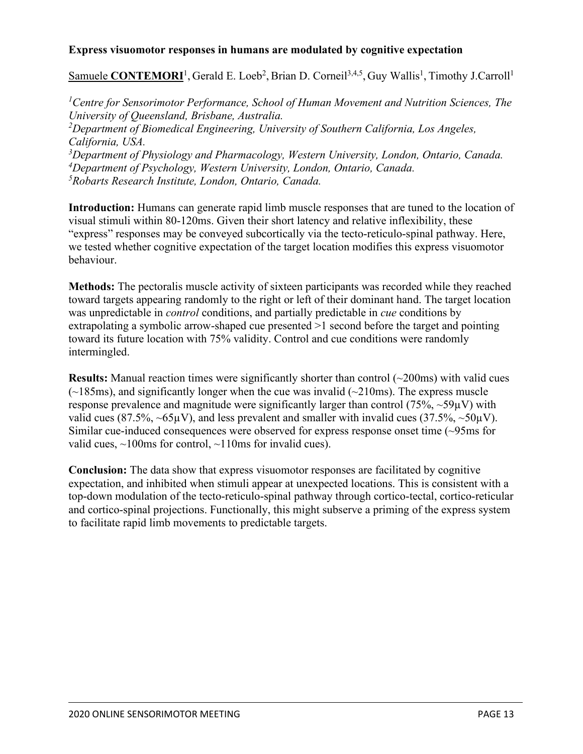#### **Express visuomotor responses in humans are modulated by cognitive expectation**

Samuele CONTEMORI<sup>1</sup>, Gerald E. Loeb<sup>2</sup>, Brian D. Corneil<sup>3,4,5</sup>, Guy Wallis<sup>1</sup>, Timothy J.Carroll<sup>1</sup>

 *Centre for Sensorimotor Performance, School of Human Movement and Nutrition Sciences, The University of Queensland, Brisbane, Australia. Department of Biomedical Engineering, University of Southern California, Los Angeles, California, USA. Department of Physiology and Pharmacology, Western University, London, Ontario, Canada. Department of Psychology, Western University, London, Ontario, Canada. Robarts Research Institute, London, Ontario, Canada.*

**Introduction:** Humans can generate rapid limb muscle responses that are tuned to the location of visual stimuli within 80-120ms. Given their short latency and relative inflexibility, these "express" responses may be conveyed subcortically via the tecto-reticulo-spinal pathway. Here, we tested whether cognitive expectation of the target location modifies this express visuomotor behaviour.

**Methods:** The pectoralis muscle activity of sixteen participants was recorded while they reached toward targets appearing randomly to the right or left of their dominant hand. The target location was unpredictable in *control* conditions, and partially predictable in *cue* conditions by extrapolating a symbolic arrow-shaped cue presented  $>1$  second before the target and pointing toward its future location with 75% validity. Control and cue conditions were randomly intermingled.

**Results:** Manual reaction times were significantly shorter than control (~200ms) with valid cues  $(\sim185\,\text{ms})$ , and significantly longer when the cue was invalid ( $\sim210\,\text{ms}$ ). The express muscle response prevalence and magnitude were significantly larger than control  $(75\%, \sim 59\mu V)$  with valid cues (87.5%,  $\sim$ 65µV), and less prevalent and smaller with invalid cues (37.5%,  $\sim$ 50µV). Similar cue-induced consequences were observed for express response onset time (~95ms for valid cues,  $\sim$ 100ms for control,  $\sim$ 110ms for invalid cues).

**Conclusion:** The data show that express visuomotor responses are facilitated by cognitive expectation, and inhibited when stimuli appear at unexpected locations. This is consistent with a top-down modulation of the tecto-reticulo-spinal pathway through cortico-tectal, cortico-reticular and cortico-spinal projections. Functionally, this might subserve a priming of the express system to facilitate rapid limb movements to predictable targets.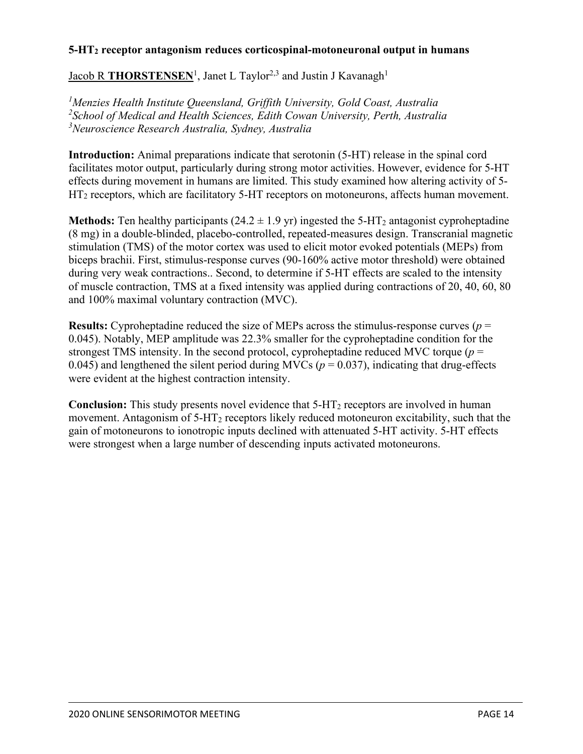#### **5-HT2 receptor antagonism reduces corticospinal-motoneuronal output in humans**

Jacob R THORSTENSEN<sup>1</sup>, Janet L Taylor<sup>2,3</sup> and Justin J Kavanagh<sup>1</sup>

*1 Menzies Health Institute Queensland, Griffith University, Gold Coast, Australia 2 School of Medical and Health Sciences, Edith Cowan University, Perth, Australia 3 Neuroscience Research Australia, Sydney, Australia*

**Introduction:** Animal preparations indicate that serotonin (5-HT) release in the spinal cord facilitates motor output, particularly during strong motor activities. However, evidence for 5-HT effects during movement in humans are limited. This study examined how altering activity of 5- HT<sub>2</sub> receptors, which are facilitatory 5-HT receptors on motoneurons, affects human movement.

**Methods:** Ten healthy participants  $(24.2 \pm 1.9 \text{ yr})$  ingested the 5-HT<sub>2</sub> antagonist cyproheptadine (8 mg) in a double-blinded, placebo-controlled, repeated-measures design. Transcranial magnetic stimulation (TMS) of the motor cortex was used to elicit motor evoked potentials (MEPs) from biceps brachii. First, stimulus-response curves (90-160% active motor threshold) were obtained during very weak contractions.. Second, to determine if 5-HT effects are scaled to the intensity of muscle contraction, TMS at a fixed intensity was applied during contractions of 20, 40, 60, 80 and 100% maximal voluntary contraction (MVC).

**Results:** Cyproheptadine reduced the size of MEPs across the stimulus-response curves (*p* = 0.045). Notably, MEP amplitude was 22.3% smaller for the cyproheptadine condition for the strongest TMS intensity. In the second protocol, cyproheptadine reduced MVC torque  $(p =$ 0.045) and lengthened the silent period during MVCs ( $p = 0.037$ ), indicating that drug-effects were evident at the highest contraction intensity.

**Conclusion:** This study presents novel evidence that 5-HT2 receptors are involved in human movement. Antagonism of  $5-HT_2$  receptors likely reduced motoneuron excitability, such that the gain of motoneurons to ionotropic inputs declined with attenuated 5-HT activity. 5-HT effects were strongest when a large number of descending inputs activated motoneurons.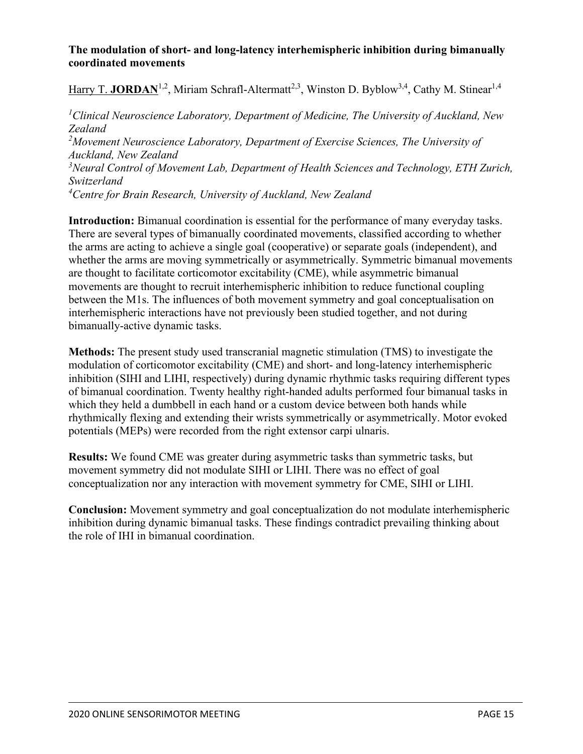#### **The modulation of short- and long-latency interhemispheric inhibition during bimanually coordinated movements**

Harry T. **JORDAN**<sup>1,2</sup>, Miriam Schrafl-Altermatt<sup>2,3</sup>, Winston D. Byblow<sup>3,4</sup>, Cathy M. Stinear<sup>1,4</sup>

*1 Clinical Neuroscience Laboratory, Department of Medicine, The University of Auckland, New Zealand 2 Movement Neuroscience Laboratory, Department of Exercise Sciences, The University of Auckland, New Zealand 3 Neural Control of Movement Lab, Department of Health Sciences and Technology, ETH Zurich, Switzerland 4 Centre for Brain Research, University of Auckland, New Zealand*

**Introduction:** Bimanual coordination is essential for the performance of many everyday tasks. There are several types of bimanually coordinated movements, classified according to whether the arms are acting to achieve a single goal (cooperative) or separate goals (independent), and whether the arms are moving symmetrically or asymmetrically. Symmetric bimanual movements are thought to facilitate corticomotor excitability (CME), while asymmetric bimanual movements are thought to recruit interhemispheric inhibition to reduce functional coupling between the M1s. The influences of both movement symmetry and goal conceptualisation on interhemispheric interactions have not previously been studied together, and not during bimanually-active dynamic tasks.

**Methods:** The present study used transcranial magnetic stimulation (TMS) to investigate the modulation of corticomotor excitability (CME) and short- and long-latency interhemispheric inhibition (SIHI and LIHI, respectively) during dynamic rhythmic tasks requiring different types of bimanual coordination. Twenty healthy right-handed adults performed four bimanual tasks in which they held a dumbbell in each hand or a custom device between both hands while rhythmically flexing and extending their wrists symmetrically or asymmetrically. Motor evoked potentials (MEPs) were recorded from the right extensor carpi ulnaris.

**Results:** We found CME was greater during asymmetric tasks than symmetric tasks, but movement symmetry did not modulate SIHI or LIHI. There was no effect of goal conceptualization nor any interaction with movement symmetry for CME, SIHI or LIHI.

**Conclusion:** Movement symmetry and goal conceptualization do not modulate interhemispheric inhibition during dynamic bimanual tasks. These findings contradict prevailing thinking about the role of IHI in bimanual coordination.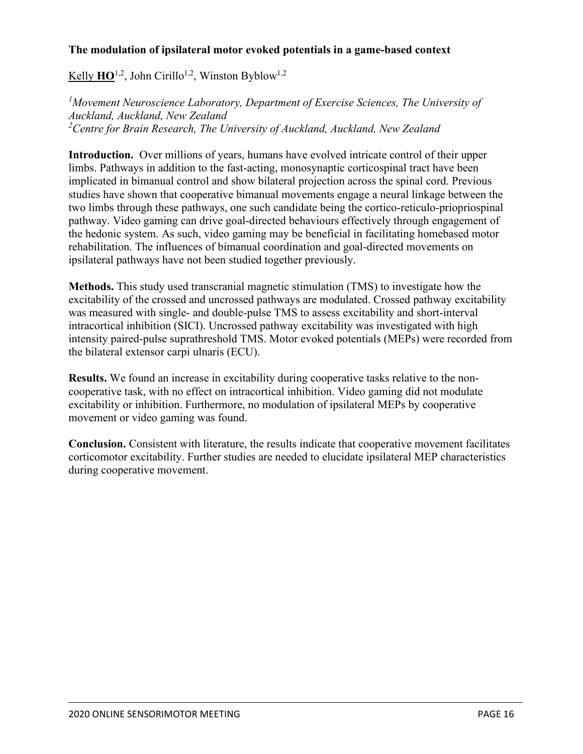#### **The modulation of ipsilateral motor evoked potentials in a game-based context**

Kelly  $HO^{1,2}$ , John Cirillo<sup>1,2</sup>, Winston Byblow<sup>1,2</sup>

<sup>1</sup>Movement Neuroscience Laboratory, Department of Exercise Sciences, The University of *Auckland, Auckland, New Zealand 2 Centre for Brain Research, The University of Auckland, Auckland, New Zealand*

**Introduction.** Over millions of years, humans have evolved intricate control of their upper limbs. Pathways in addition to the fast-acting, monosynaptic corticospinal tract have been implicated in bimanual control and show bilateral projection across the spinal cord. Previous studies have shown that cooperative bimanual movements engage a neural linkage between the two limbs through these pathways, one such candidate being the cortico-reticulo-priopriospinal pathway. Video gaming can drive goal-directed behaviours effectively through engagement of the hedonic system. As such, video gaming may be beneficial in facilitating homebased motor rehabilitation. The influences of bimanual coordination and goal-directed movements on ipsilateral pathways have not been studied together previously.

**Methods.** This study used transcranial magnetic stimulation (TMS) to investigate how the excitability of the crossed and uncrossed pathways are modulated. Crossed pathway excitability was measured with single- and double-pulse TMS to assess excitability and short-interval intracortical inhibition (SICI). Uncrossed pathway excitability was investigated with high intensity paired-pulse suprathreshold TMS. Motor evoked potentials (MEPs) were recorded from the bilateral extensor carpi ulnaris (ECU).

**Results.** We found an increase in excitability during cooperative tasks relative to the noncooperative task, with no effect on intracortical inhibition. Video gaming did not modulate excitability or inhibition. Furthermore, no modulation of ipsilateral MEPs by cooperative movement or video gaming was found.

**Conclusion.** Consistent with literature, the results indicate that cooperative movement facilitates corticomotor excitability. Further studies are needed to elucidate ipsilateral MEP characteristics during cooperative movement.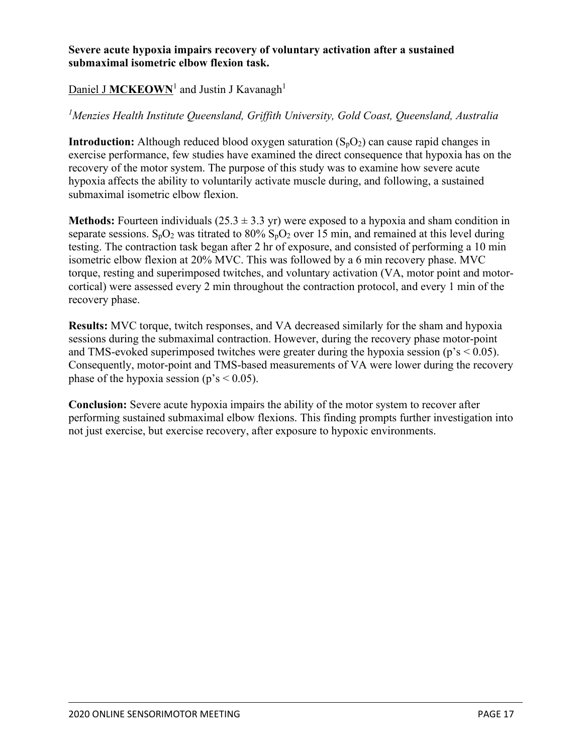#### **Severe acute hypoxia impairs recovery of voluntary activation after a sustained submaximal isometric elbow flexion task.**

#### Daniel J **MCKEOWN**<sup>1</sup> and Justin J Kavanagh<sup>1</sup>

#### *1 Menzies Health Institute Queensland, Griffith University, Gold Coast, Queensland, Australia*

**Introduction:** Although reduced blood oxygen saturation  $(S_pO_2)$  can cause rapid changes in exercise performance, few studies have examined the direct consequence that hypoxia has on the recovery of the motor system. The purpose of this study was to examine how severe acute hypoxia affects the ability to voluntarily activate muscle during, and following, a sustained submaximal isometric elbow flexion.

**Methods:** Fourteen individuals (25.3 ± 3.3 yr) were exposed to a hypoxia and sham condition in separate sessions.  $S_pO_2$  was titrated to 80%  $S_pO_2$  over 15 min, and remained at this level during testing. The contraction task began after 2 hr of exposure, and consisted of performing a 10 min isometric elbow flexion at 20% MVC. This was followed by a 6 min recovery phase. MVC torque, resting and superimposed twitches, and voluntary activation (VA, motor point and motorcortical) were assessed every 2 min throughout the contraction protocol, and every 1 min of the recovery phase.

**Results:** MVC torque, twitch responses, and VA decreased similarly for the sham and hypoxia sessions during the submaximal contraction. However, during the recovery phase motor-point and TMS-evoked superimposed twitches were greater during the hypoxia session ( $p's < 0.05$ ). Consequently, motor-point and TMS-based measurements of VA were lower during the recovery phase of the hypoxia session ( $p's < 0.05$ ).

**Conclusion:** Severe acute hypoxia impairs the ability of the motor system to recover after performing sustained submaximal elbow flexions. This finding prompts further investigation into not just exercise, but exercise recovery, after exposure to hypoxic environments.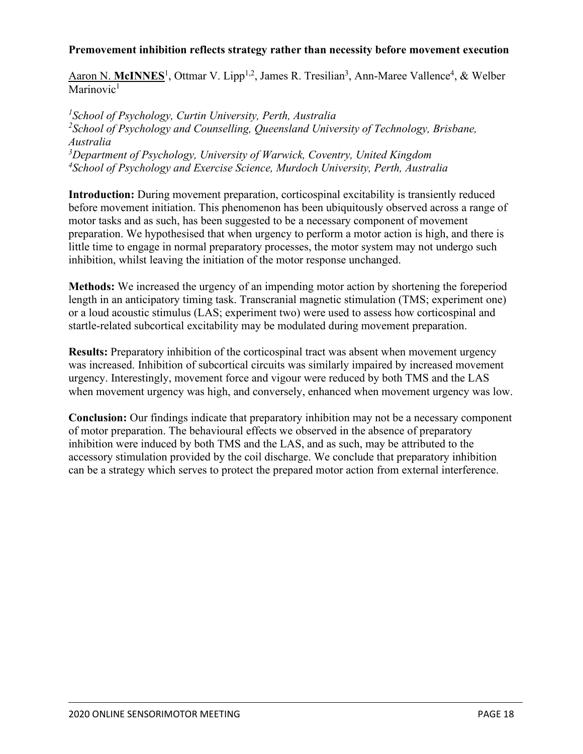#### **Premovement inhibition reflects strategy rather than necessity before movement execution**

Aaron N. McINNES<sup>1</sup>, Ottmar V. Lipp<sup>1,2</sup>, James R. Tresilian<sup>3</sup>, Ann-Maree Vallence<sup>4</sup>, & Welber Marinovic $<sup>1</sup>$ </sup>

 *School of Psychology, Curtin University, Perth, Australia School of Psychology and Counselling, Queensland University of Technology, Brisbane, Australia Department of Psychology, University of Warwick, Coventry, United Kingdom School of Psychology and Exercise Science, Murdoch University, Perth, Australia*

**Introduction:** During movement preparation, corticospinal excitability is transiently reduced before movement initiation. This phenomenon has been ubiquitously observed across a range of motor tasks and as such, has been suggested to be a necessary component of movement preparation. We hypothesised that when urgency to perform a motor action is high, and there is little time to engage in normal preparatory processes, the motor system may not undergo such inhibition, whilst leaving the initiation of the motor response unchanged.

**Methods:** We increased the urgency of an impending motor action by shortening the foreperiod length in an anticipatory timing task. Transcranial magnetic stimulation (TMS; experiment one) or a loud acoustic stimulus (LAS; experiment two) were used to assess how corticospinal and startle-related subcortical excitability may be modulated during movement preparation.

**Results:** Preparatory inhibition of the corticospinal tract was absent when movement urgency was increased. Inhibition of subcortical circuits was similarly impaired by increased movement urgency. Interestingly, movement force and vigour were reduced by both TMS and the LAS when movement urgency was high, and conversely, enhanced when movement urgency was low.

**Conclusion:** Our findings indicate that preparatory inhibition may not be a necessary component of motor preparation. The behavioural effects we observed in the absence of preparatory inhibition were induced by both TMS and the LAS, and as such, may be attributed to the accessory stimulation provided by the coil discharge. We conclude that preparatory inhibition can be a strategy which serves to protect the prepared motor action from external interference.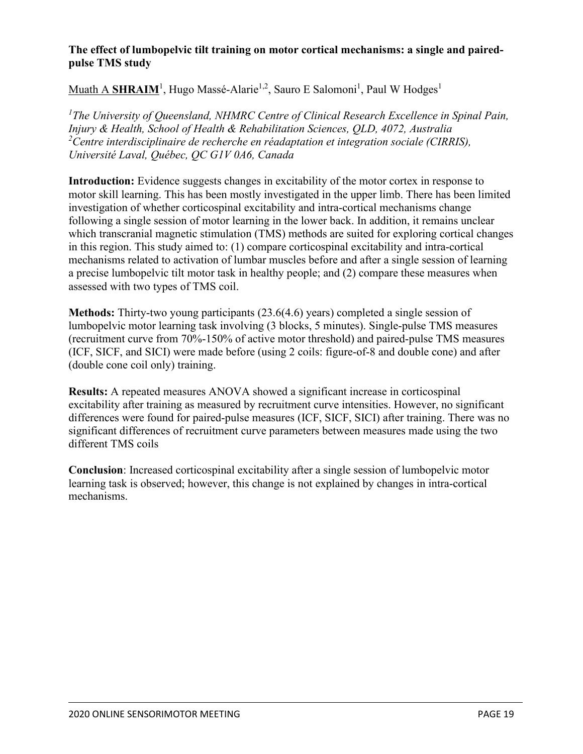#### **The effect of lumbopelvic tilt training on motor cortical mechanisms: a single and pairedpulse TMS study**

#### $\overline{\mathbf{M}}$ uath A  $\overline{\mathbf{SHRAIM}}^1$ , Hugo Massé-Alarie<sup>1,2</sup>, Sauro E Salomoni<sup>1</sup>, Paul W Hodges<sup>1</sup>

*1 The University of Queensland, NHMRC Centre of Clinical Research Excellence in Spinal Pain, Injury & Health, School of Health & Rehabilitation Sciences, QLD, 4072, Australia 2 Centre interdisciplinaire de recherche en réadaptation et integration sociale (CIRRIS), Université Laval, Québec, QC G1V 0A6, Canada*

**Introduction:** Evidence suggests changes in excitability of the motor cortex in response to motor skill learning. This has been mostly investigated in the upper limb. There has been limited investigation of whether corticospinal excitability and intra-cortical mechanisms change following a single session of motor learning in the lower back. In addition, it remains unclear which transcranial magnetic stimulation (TMS) methods are suited for exploring cortical changes in this region. This study aimed to: (1) compare corticospinal excitability and intra-cortical mechanisms related to activation of lumbar muscles before and after a single session of learning a precise lumbopelvic tilt motor task in healthy people; and (2) compare these measures when assessed with two types of TMS coil.

**Methods:** Thirty-two young participants (23.6(4.6) years) completed a single session of lumbopelvic motor learning task involving (3 blocks, 5 minutes). Single-pulse TMS measures (recruitment curve from 70%-150% of active motor threshold) and paired-pulse TMS measures (ICF, SICF, and SICI) were made before (using 2 coils: figure-of-8 and double cone) and after (double cone coil only) training.

**Results:** A repeated measures ANOVA showed a significant increase in corticospinal excitability after training as measured by recruitment curve intensities. However, no significant differences were found for paired-pulse measures (ICF, SICF, SICI) after training. There was no significant differences of recruitment curve parameters between measures made using the two different TMS coils

**Conclusion**: Increased corticospinal excitability after a single session of lumbopelvic motor learning task is observed; however, this change is not explained by changes in intra-cortical mechanisms.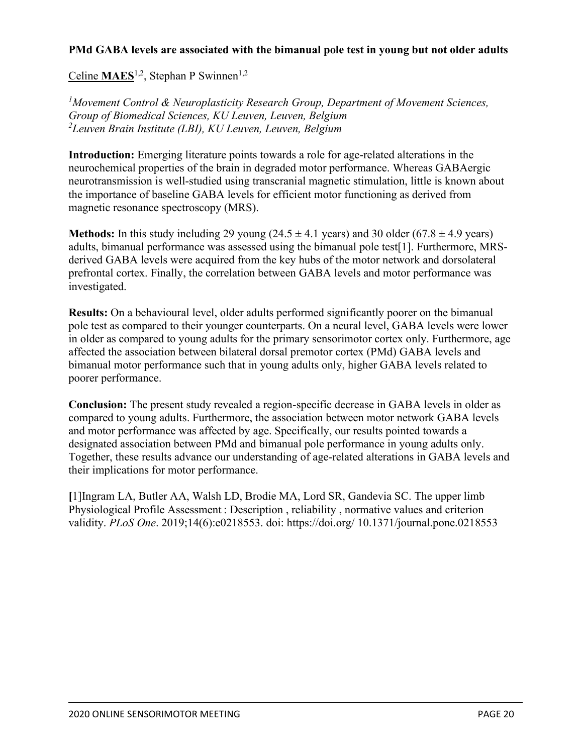#### **PMd GABA levels are associated with the bimanual pole test in young but not older adults**

Celine **MAES**<sup>1,2</sup>, Stephan P Swinnen<sup>1,2</sup>

*1 Movement Control & Neuroplasticity Research Group, Department of Movement Sciences, Group of Biomedical Sciences, KU Leuven, Leuven, Belgium 2 Leuven Brain Institute (LBI), KU Leuven, Leuven, Belgium*

**Introduction:** Emerging literature points towards a role for age-related alterations in the neurochemical properties of the brain in degraded motor performance. Whereas GABAergic neurotransmission is well-studied using transcranial magnetic stimulation, little is known about the importance of baseline GABA levels for efficient motor functioning as derived from magnetic resonance spectroscopy (MRS).

**Methods:** In this study including 29 young  $(24.5 \pm 4.1 \text{ years})$  and 30 older  $(67.8 \pm 4.9 \text{ years})$ adults, bimanual performance was assessed using the bimanual pole test[1]. Furthermore, MRSderived GABA levels were acquired from the key hubs of the motor network and dorsolateral prefrontal cortex. Finally, the correlation between GABA levels and motor performance was investigated.

**Results:** On a behavioural level, older adults performed significantly poorer on the bimanual pole test as compared to their younger counterparts. On a neural level, GABA levels were lower in older as compared to young adults for the primary sensorimotor cortex only. Furthermore, age affected the association between bilateral dorsal premotor cortex (PMd) GABA levels and bimanual motor performance such that in young adults only, higher GABA levels related to poorer performance.

**Conclusion:** The present study revealed a region-specific decrease in GABA levels in older as compared to young adults. Furthermore, the association between motor network GABA levels and motor performance was affected by age. Specifically, our results pointed towards a designated association between PMd and bimanual pole performance in young adults only. Together, these results advance our understanding of age-related alterations in GABA levels and their implications for motor performance.

**[**1]Ingram LA, Butler AA, Walsh LD, Brodie MA, Lord SR, Gandevia SC. The upper limb Physiological Profile Assessment : Description , reliability , normative values and criterion validity. *PLoS One*. 2019;14(6):e0218553. doi: https://doi.org/ 10.1371/journal.pone.0218553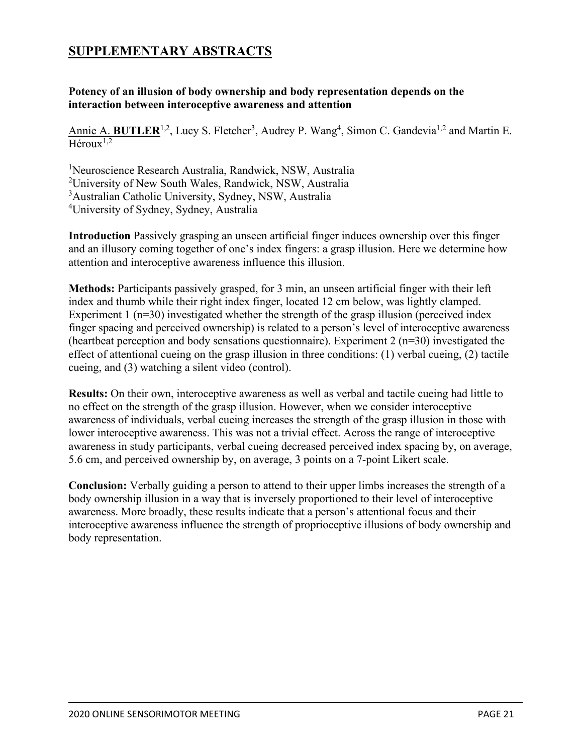# **SUPPLEMENTARY ABSTRACTS**

#### **Potency of an illusion of body ownership and body representation depends on the interaction between interoceptive awareness and attention**

Annie A. BUTLER<sup>1,2</sup>, Lucy S. Fletcher<sup>3</sup>, Audrey P. Wang<sup>4</sup>, Simon C. Gandevia<sup>1,2</sup> and Martin E.  $Héroux<sup>1,2</sup>$ 

1 Neuroscience Research Australia, Randwick, NSW, Australia

2 University of New South Wales, Randwick, NSW, Australia

3 Australian Catholic University, Sydney, NSW, Australia

4 University of Sydney, Sydney, Australia

**Introduction** Passively grasping an unseen artificial finger induces ownership over this finger and an illusory coming together of one's index fingers: a grasp illusion. Here we determine how attention and interoceptive awareness influence this illusion.

**Methods:** Participants passively grasped, for 3 min, an unseen artificial finger with their left index and thumb while their right index finger, located 12 cm below, was lightly clamped. Experiment 1 ( $n=30$ ) investigated whether the strength of the grasp illusion (perceived index finger spacing and perceived ownership) is related to a person's level of interoceptive awareness (heartbeat perception and body sensations questionnaire). Experiment 2 (n=30) investigated the effect of attentional cueing on the grasp illusion in three conditions: (1) verbal cueing, (2) tactile cueing, and (3) watching a silent video (control).

**Results:** On their own, interoceptive awareness as well as verbal and tactile cueing had little to no effect on the strength of the grasp illusion. However, when we consider interoceptive awareness of individuals, verbal cueing increases the strength of the grasp illusion in those with lower interoceptive awareness. This was not a trivial effect. Across the range of interoceptive awareness in study participants, verbal cueing decreased perceived index spacing by, on average, 5.6 cm, and perceived ownership by, on average, 3 points on a 7-point Likert scale.

**Conclusion:** Verbally guiding a person to attend to their upper limbs increases the strength of a body ownership illusion in a way that is inversely proportioned to their level of interoceptive awareness. More broadly, these results indicate that a person's attentional focus and their interoceptive awareness influence the strength of proprioceptive illusions of body ownership and body representation.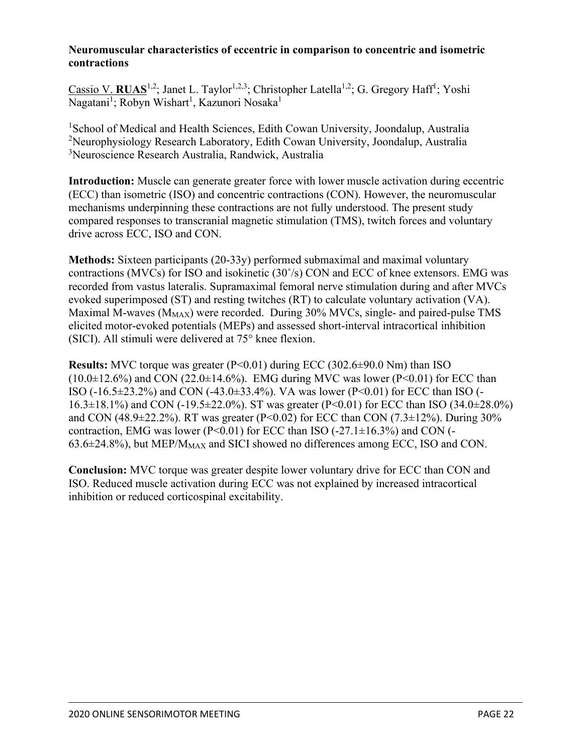#### **Neuromuscular characteristics of eccentric in comparison to concentric and isometric contractions**

Cassio V. RUAS<sup>1,2</sup>; Janet L. Taylor<sup>1,2,3</sup>; Christopher Latella<sup>1,2</sup>; G. Gregory Haff<sup>1</sup>; Yoshi Nagatani<sup>1</sup>; Robyn Wishart<sup>1</sup>, Kazunori Nosaka<sup>1</sup>

<sup>1</sup>School of Medical and Health Sciences, Edith Cowan University, Joondalup, Australia <sup>2</sup>Neurophysiology Research Laboratory, Edith Cowan University, Joondalup, Australia 3 Neuroscience Research Australia, Randwick, Australia

**Introduction:** Muscle can generate greater force with lower muscle activation during eccentric (ECC) than isometric (ISO) and concentric contractions (CON). However, the neuromuscular mechanisms underpinning these contractions are not fully understood. The present study compared responses to transcranial magnetic stimulation (TMS), twitch forces and voluntary drive across ECC, ISO and CON.

**Methods:** Sixteen participants (20-33y) performed submaximal and maximal voluntary contractions (MVCs) for ISO and isokinetic  $(30<sup>o</sup>/s)$  CON and ECC of knee extensors. EMG was recorded from vastus lateralis. Supramaximal femoral nerve stimulation during and after MVCs evoked superimposed (ST) and resting twitches (RT) to calculate voluntary activation (VA). Maximal M-waves  $(M_{MAX})$  were recorded. During 30% MVCs, single- and paired-pulse TMS elicited motor-evoked potentials (MEPs) and assessed short-interval intracortical inhibition (SICI). All stimuli were delivered at 75° knee flexion.

**Results:** MVC torque was greater (P<0.01) during ECC (302.6±90.0 Nm) than ISO  $(10.0\pm12.6\%)$  and CON  $(22.0\pm14.6\%)$ . EMG during MVC was lower (P<0.01) for ECC than ISO (-16.5±23.2%) and CON (-43.0±33.4%). VA was lower (P<0.01) for ECC than ISO (-  $16.3\pm18.1\%$ ) and CON (-19.5 $\pm$ 22.0%). ST was greater (P<0.01) for ECC than ISO (34.0 $\pm$ 28.0%) and CON (48.9 $\pm$ 22.2%). RT was greater (P<0.02) for ECC than CON (7.3 $\pm$ 12%). During 30% contraction, EMG was lower (P<0.01) for ECC than ISO (-27.1 $\pm$ 16.3%) and CON (- $63.6\pm24.8\%$ ), but MEP/M<sub>MAX</sub> and SICI showed no differences among ECC, ISO and CON.

**Conclusion:** MVC torque was greater despite lower voluntary drive for ECC than CON and ISO. Reduced muscle activation during ECC was not explained by increased intracortical inhibition or reduced corticospinal excitability.